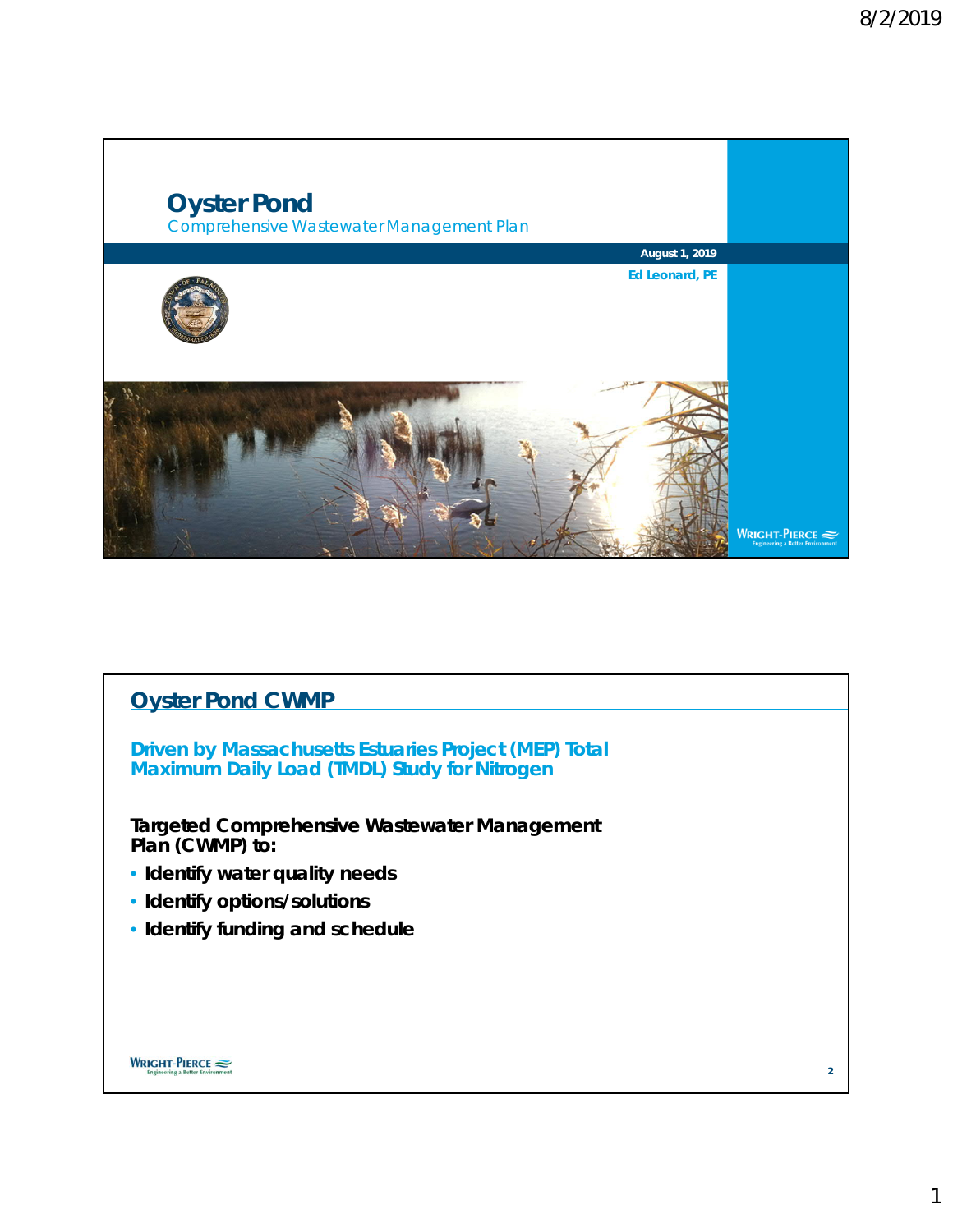

# **Oyster Pond CWMP**

**Driven by Massachusetts Estuaries Project (MEP) Total Maximum Daily Load (TMDL) Study for Nitrogen**

**Targeted Comprehensive Wastewater Management Plan (CWMP) to:**

- **Identify water quality needs**
- **Identify options/solutions**
- **Identify funding and schedule**

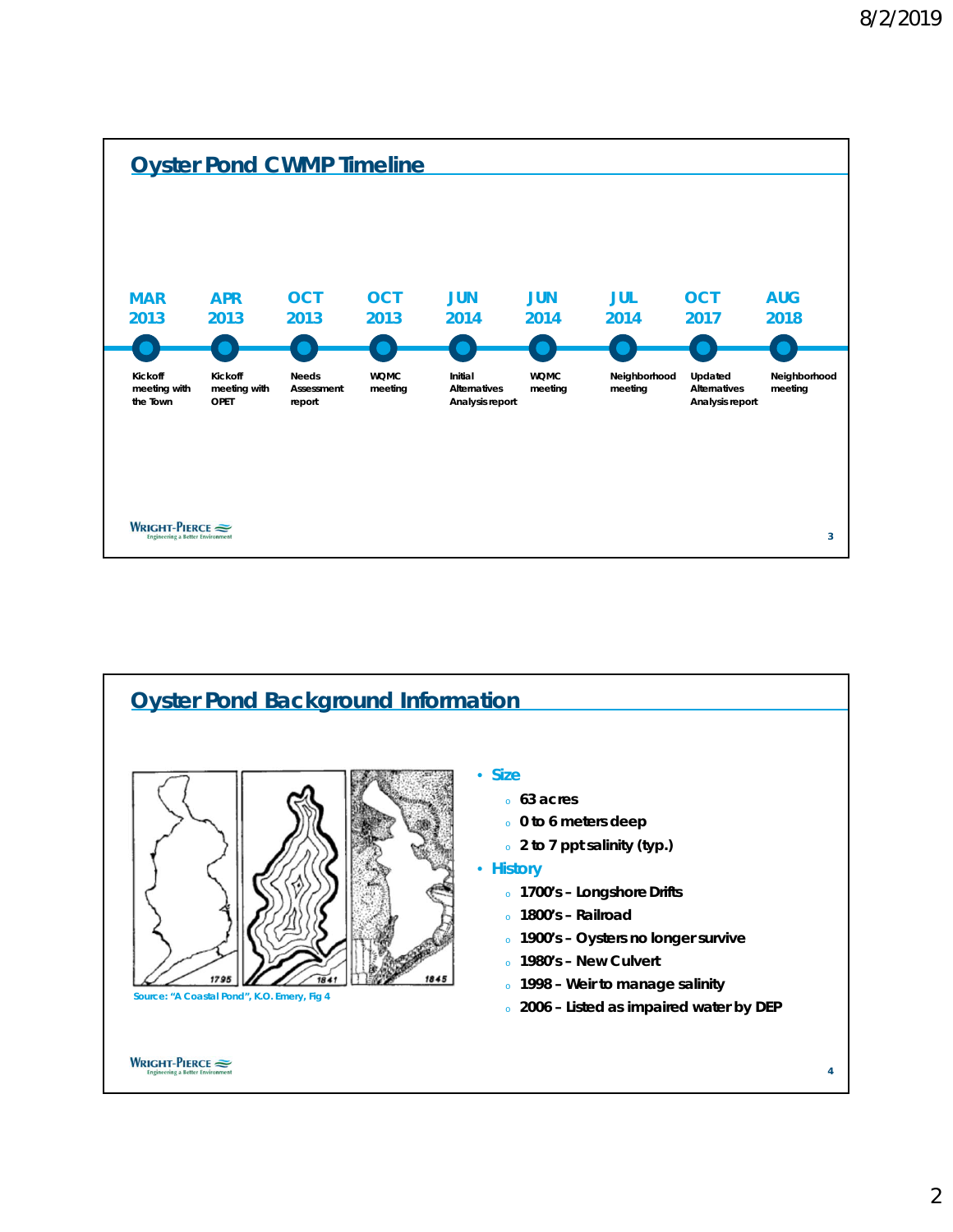



2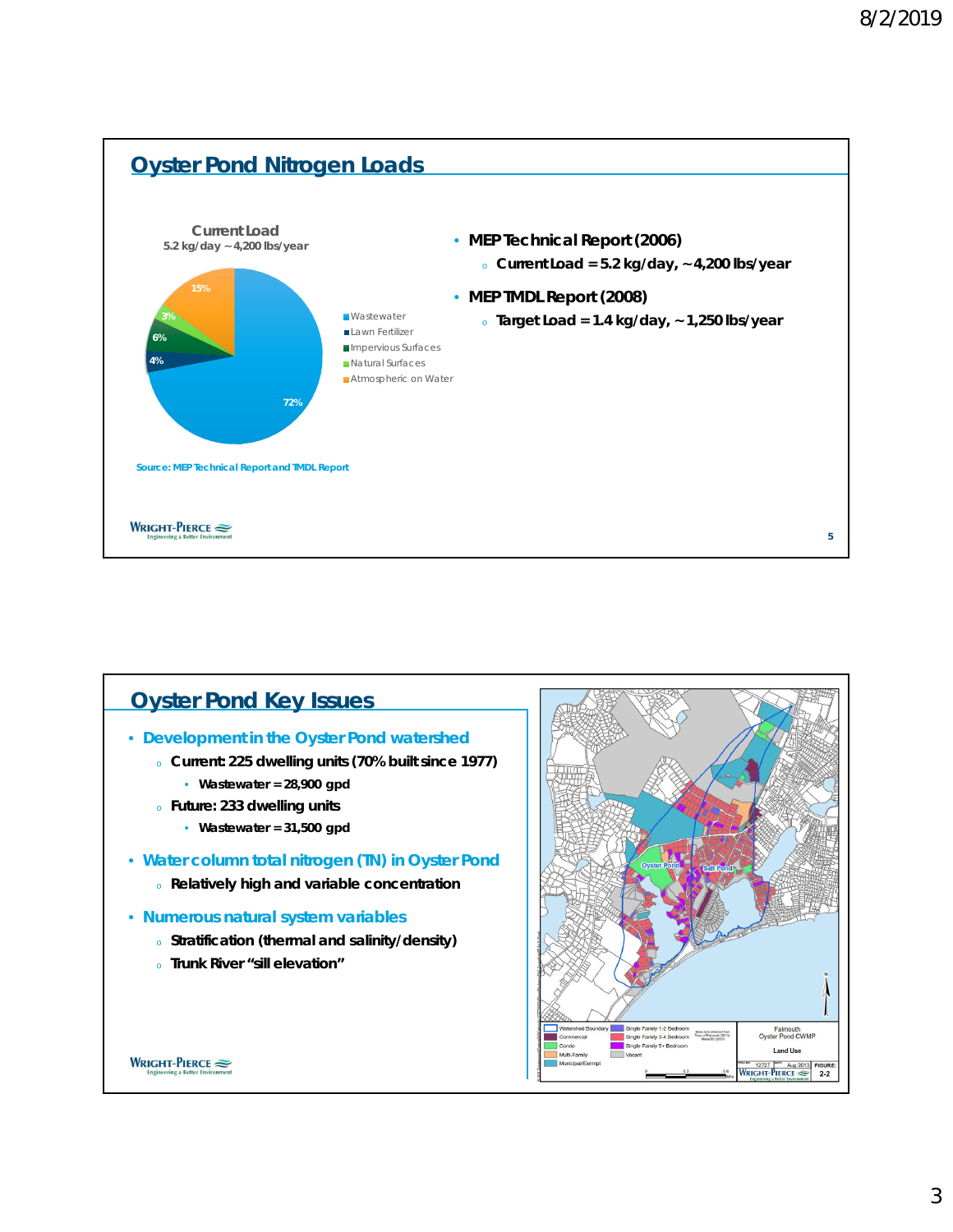

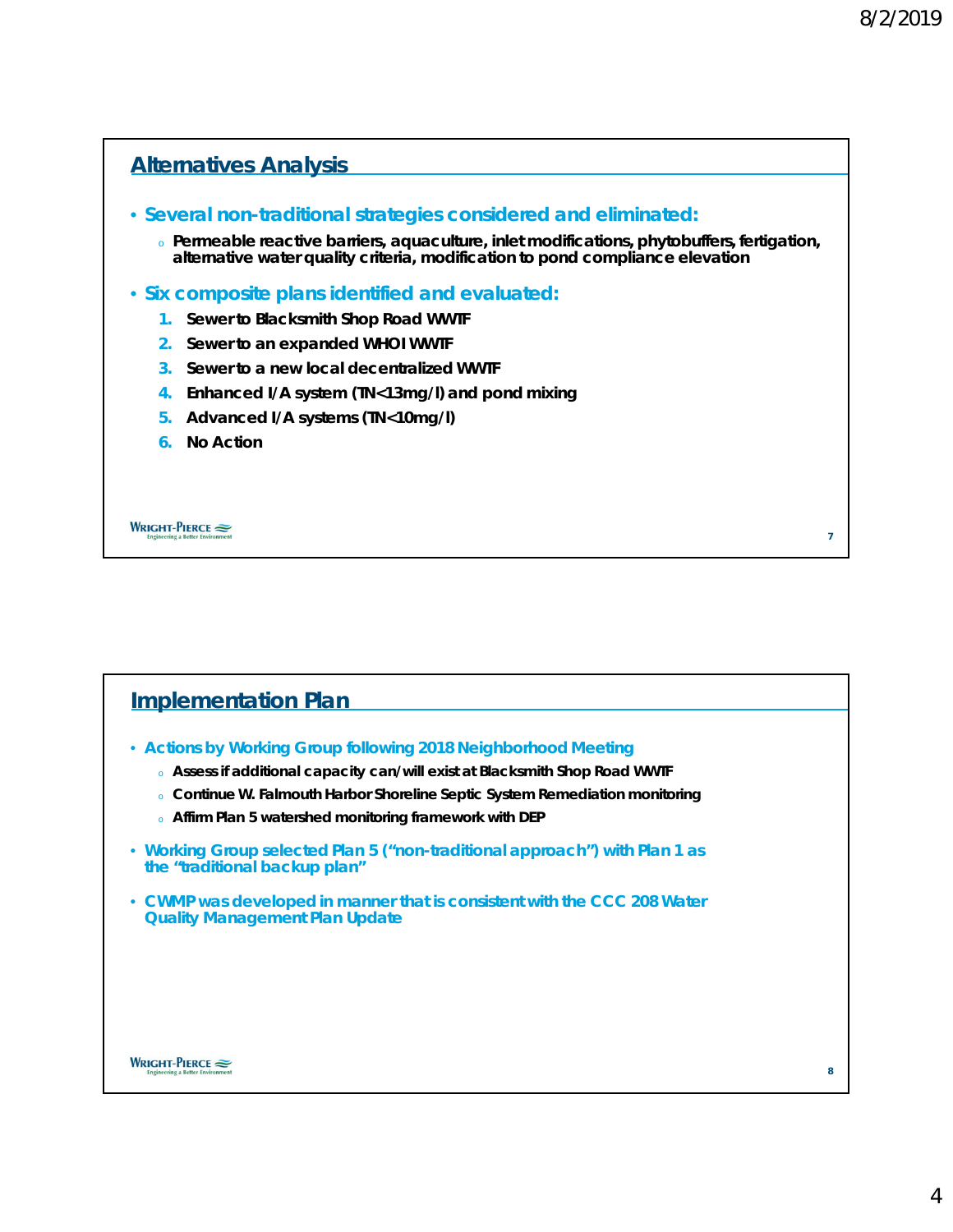

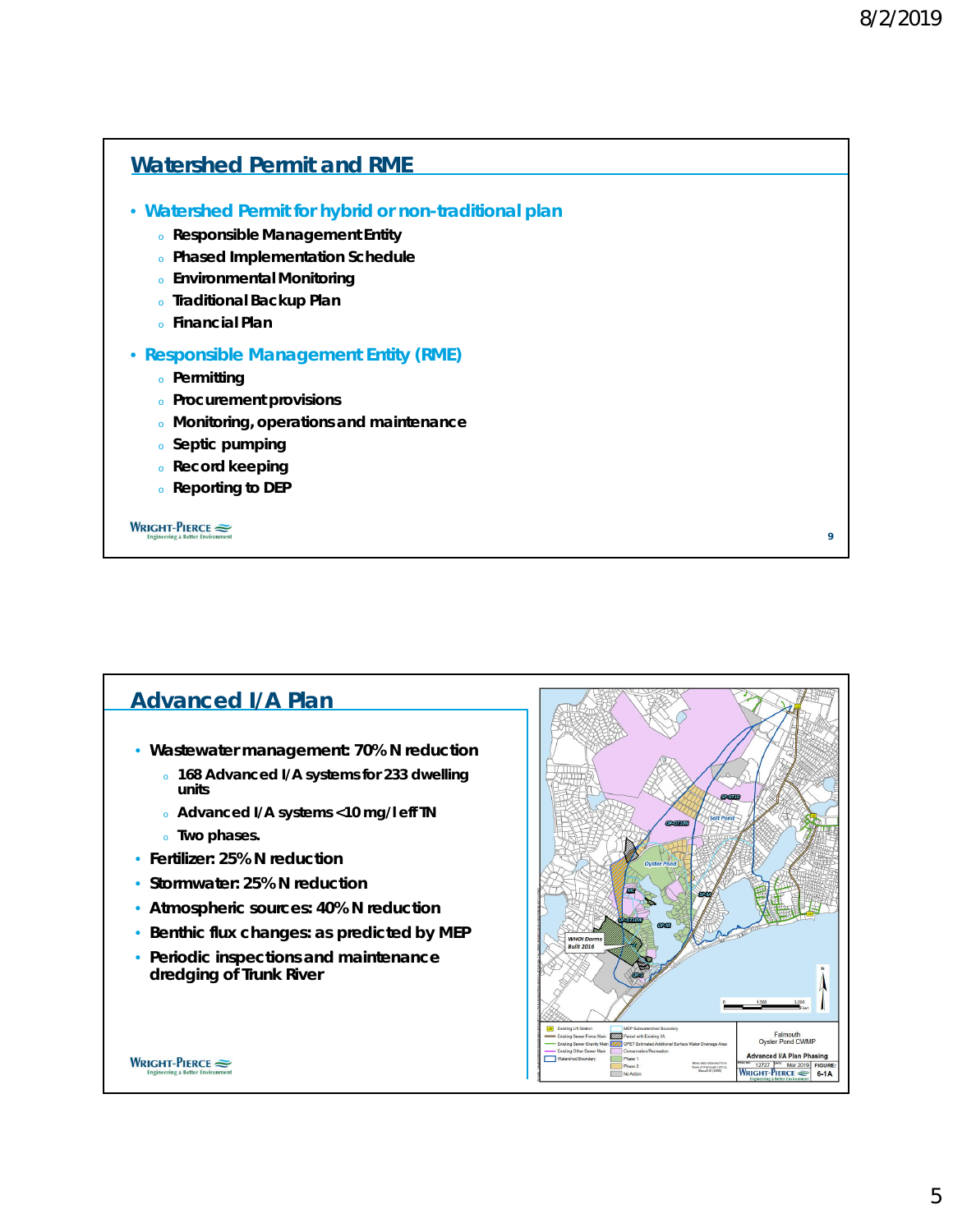**9**

# • **Watershed Permit for hybrid or non-traditional plan** <sup>o</sup> **Responsible Management Entity** <sup>o</sup> **Phased Implementation Schedule** <sup>o</sup> **Environmental Monitoring** <sup>o</sup> **Traditional Backup Plan** <sup>o</sup> **Financial Plan** • **Responsible Management Entity (RME)** <sup>o</sup> **Permitting** <sup>o</sup> **Procurement provisions** <sup>o</sup> **Monitoring, operations and maintenance** <sup>o</sup> **Septic pumping** <sup>o</sup> **Record keeping** <sup>o</sup> **Reporting to DEP Watershed Permit and RME**

#### WRIGHT-PIERCE

#### **Advanced I/A Plan** • **Wastewater management: 70% N reduction** <sup>o</sup> **168 Advanced I/A systems for 233 dwelling units** <sup>o</sup> **Advanced I/A systems <10 mg/l eff TN** <sup>o</sup> **Two phases.** • **Fertilizer: 25% N reduction** • **Stormwater: 25% N reduction** • **Atmospheric sources: 40% N reduction** • **Benthic flux changes: as predicted by MEP** WHOI Doi<br>Built 2016 • **Periodic inspections and maintenance dredging of Trunk River** Falmouth<br>Oyster Pond CWMP **Advanced I/A Plan Phasing** WRIGHT-PIERCE Base data obtained from<br>Town of Falmouth (2013),<br>MassGIS (2009) **12727** Mar 2019 FIGURE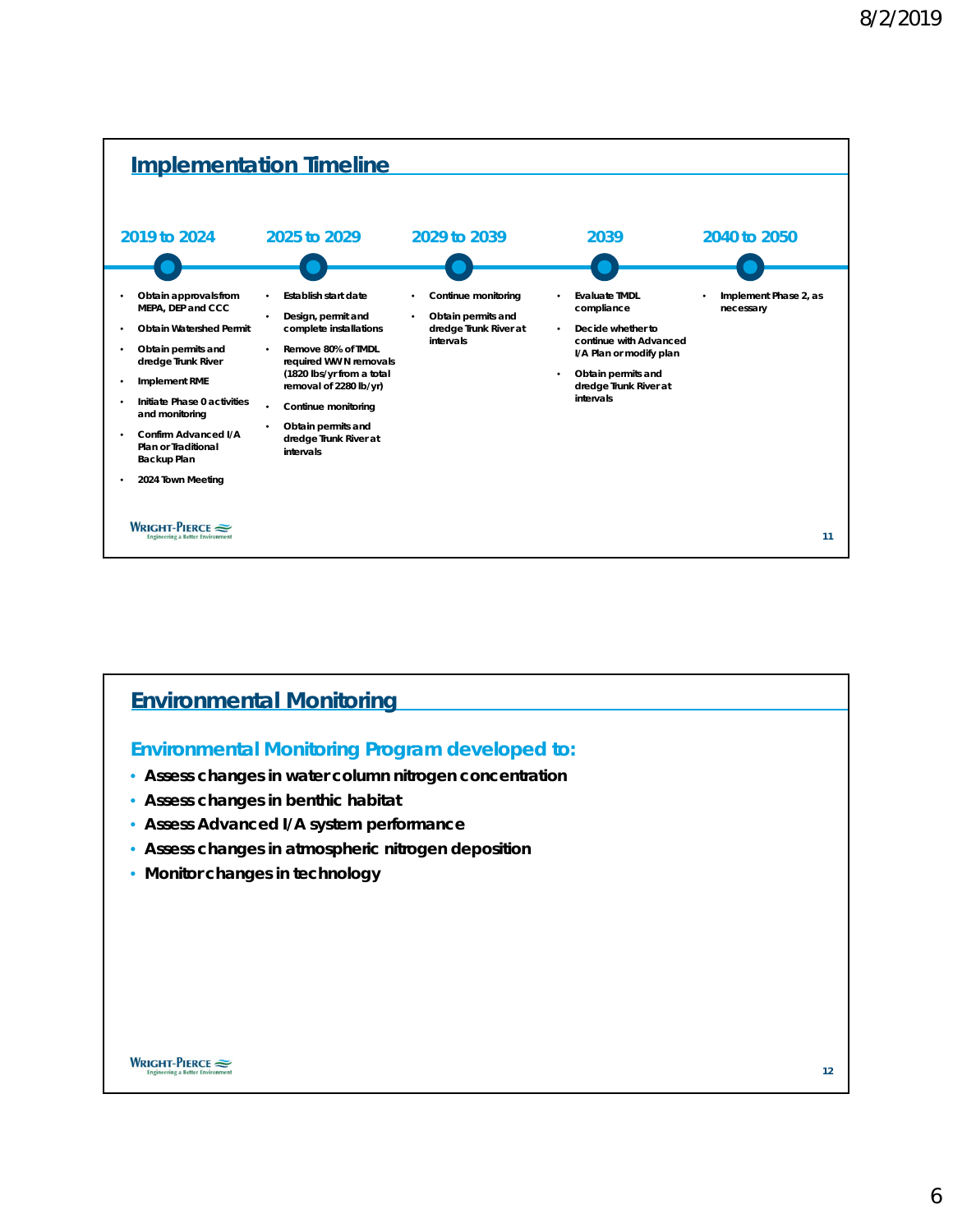

# **Environmental Monitoring**

#### **Environmental Monitoring Program developed to:**

- **Assess changes in water column nitrogen concentration**
- **Assess changes in benthic habitat**
- **Assess Advanced I/A system performance**
- **Assess changes in atmospheric nitrogen deposition**
- **Monitor changes in technology**

WRIGHT-PIERCE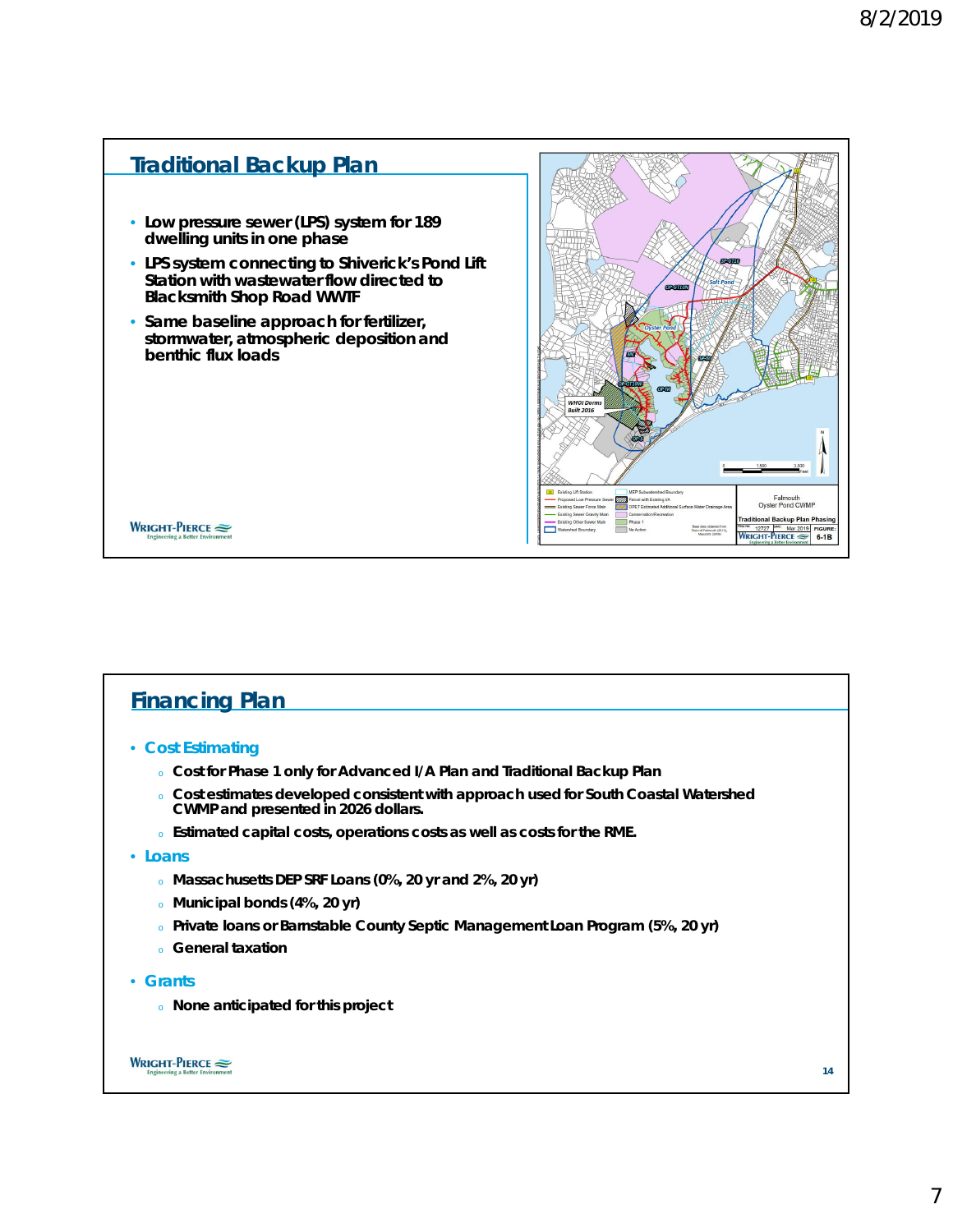

# **Financing Plan**

- **Cost Estimating**
	- <sup>o</sup> **Cost for Phase 1 only for Advanced I/A Plan and Traditional Backup Plan**
	- <sup>o</sup> **Cost estimates developed consistent with approach used for South Coastal Watershed CWMP and presented in 2026 dollars.**
	- <sup>o</sup> **Estimated capital costs, operations costs as well as costs for the RME.**
- **Loans**
	- <sup>o</sup> **Massachusetts DEP SRF Loans (0%, 20 yr and 2%, 20 yr)**
	- <sup>o</sup> **Municipal bonds (4%, 20 yr)**
	- <sup>o</sup> **Private loans or Barnstable County Septic Management Loan Program (5%, 20 yr)**
	- <sup>o</sup> **General taxation**
- **Grants**
	- <sup>o</sup> **None anticipated for this project**



**14**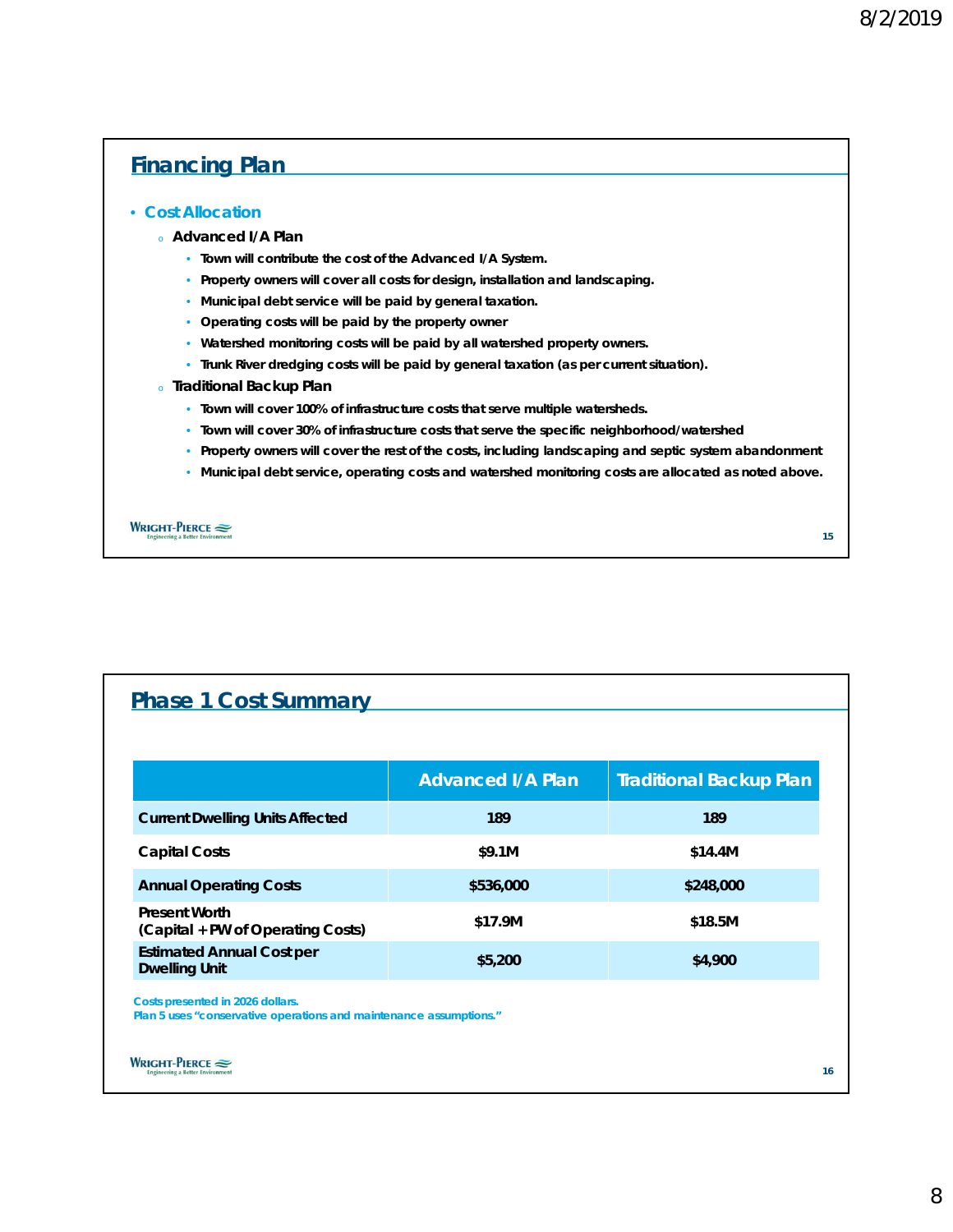# **Financing Plan**

#### • **Cost Allocation**

#### <sup>o</sup> **Advanced I/A Plan**

- **Town will contribute the cost of the Advanced I/A System.**
- **Property owners will cover all costs for design, installation and landscaping.**
- **Municipal debt service will be paid by general taxation.**
- **Operating costs will be paid by the property owner**
- **Watershed monitoring costs will be paid by all watershed property owners.**
- **Trunk River dredging costs will be paid by general taxation (as per current situation).**
- <sup>o</sup> **Traditional Backup Plan**
	- **Town will cover 100% of infrastructure costs that serve multiple watersheds.**
	- **Town will cover 30% of infrastructure costs that serve the specific neighborhood/watershed**
	- **Property owners will cover the rest of the costs, including landscaping and septic system abandonment**
	- **Municipal debt service, operating costs and watershed monitoring costs are allocated as noted above.**

WRIGHT-PIERCE

# **Phase 1 Cost Summary**

| <b>Advanced I/A Plan</b> | Traditional Backup Plan |
|--------------------------|-------------------------|
| 189                      | 189                     |
| \$9.1M                   | \$14.4M                 |
| \$536,000                | \$248,000               |
| \$17.9M                  | \$18.5M                 |
| \$5.200                  | \$4,900                 |
|                          |                         |

**Costs presented in 2026 dollars.**

**Plan 5 uses "conservative operations and maintenance assumptions."**

WRIGHT-PIERCE

**15**